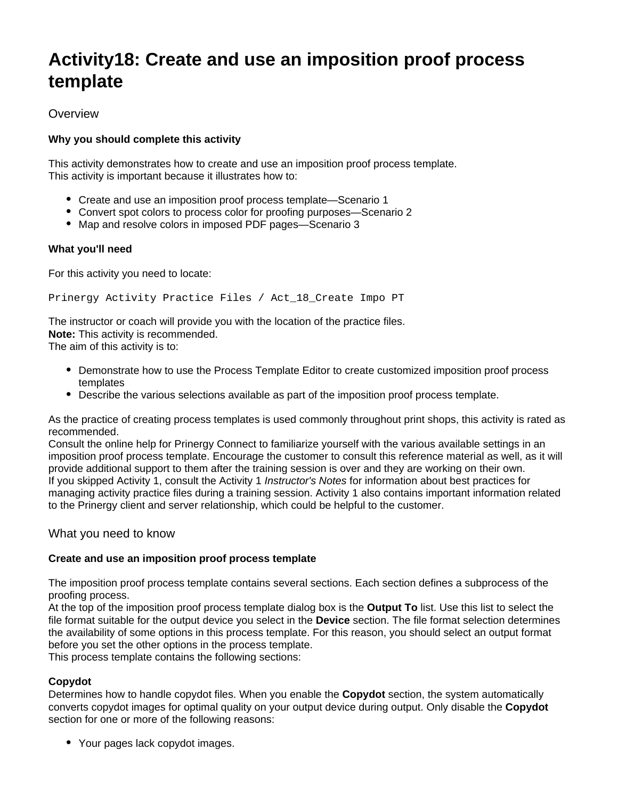# **Activity18: Create and use an imposition proof process template**

# **Overview**

# **Why you should complete this activity**

This activity demonstrates how to create and use an imposition proof process template. This activity is important because it illustrates how to:

- Create and use an imposition proof process template—Scenario 1
- Convert spot colors to process color for proofing purposes—Scenario 2
- Map and resolve colors in imposed PDF pages-Scenario 3

## **What you'll need**

For this activity you need to locate:

Prinergy Activity Practice Files / Act\_18\_Create Impo PT

The instructor or coach will provide you with the location of the practice files. **Note:** This activity is recommended.

The aim of this activity is to:

- Demonstrate how to use the Process Template Editor to create customized imposition proof process templates
- Describe the various selections available as part of the imposition proof process template.

As the practice of creating process templates is used commonly throughout print shops, this activity is rated as recommended.

Consult the online help for Prinergy Connect to familiarize yourself with the various available settings in an imposition proof process template. Encourage the customer to consult this reference material as well, as it will provide additional support to them after the training session is over and they are working on their own. If you skipped Activity 1, consult the Activity 1 Instructor's Notes for information about best practices for managing activity practice files during a training session. Activity 1 also contains important information related to the Prinergy client and server relationship, which could be helpful to the customer.

# What you need to know

### **Create and use an imposition proof process template**

The imposition proof process template contains several sections. Each section defines a subprocess of the proofing process.

At the top of the imposition proof process template dialog box is the **Output To** list. Use this list to select the file format suitable for the output device you select in the **Device** section. The file format selection determines the availability of some options in this process template. For this reason, you should select an output format before you set the other options in the process template.

This process template contains the following sections:

# **Copydot**

Determines how to handle copydot files. When you enable the **Copydot** section, the system automatically converts copydot images for optimal quality on your output device during output. Only disable the **Copydot** section for one or more of the following reasons:

Your pages lack copydot images.